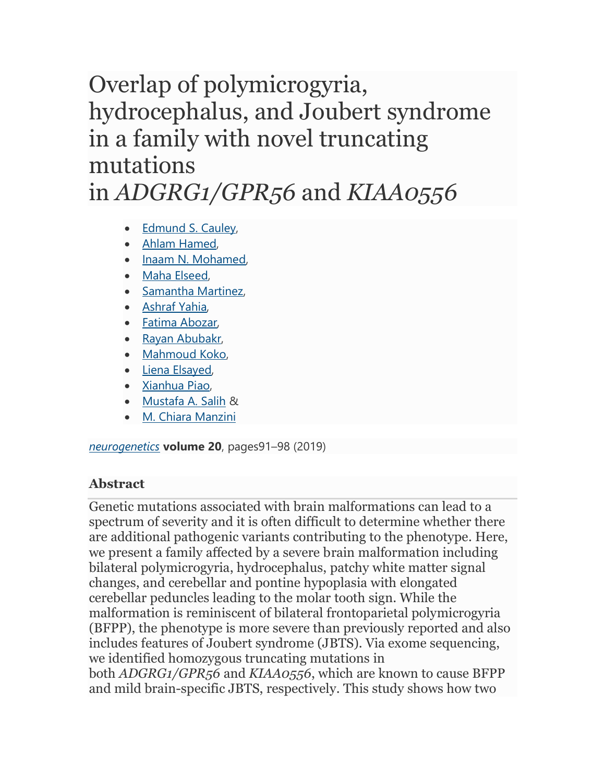## Overlap of polymicrogyria, hydrocephalus, and Joubert syndrome in a family with novel truncating mutations in *ADGRG1/GPR56* and *KIAA0556*

- [Edmund S. Cauley,](https://link.springer.com/article/10.1007/s10048-019-00577-2#auth-Edmund_S_-Cauley)
- [Ahlam Hamed,](https://link.springer.com/article/10.1007/s10048-019-00577-2#auth-Ahlam-Hamed)
- [Inaam N. Mohamed,](https://link.springer.com/article/10.1007/s10048-019-00577-2#auth-Inaam_N_-Mohamed)
- [Maha Elseed,](https://link.springer.com/article/10.1007/s10048-019-00577-2#auth-Maha-Elseed)
- [Samantha Martinez,](https://link.springer.com/article/10.1007/s10048-019-00577-2#auth-Samantha-Martinez)
- [Ashraf Yahia,](https://link.springer.com/article/10.1007/s10048-019-00577-2#auth-Ashraf-Yahia)
- [Fatima Abozar,](https://link.springer.com/article/10.1007/s10048-019-00577-2#auth-Fatima-Abozar)
- [Rayan Abubakr,](https://link.springer.com/article/10.1007/s10048-019-00577-2#auth-Rayan-Abubakr)
- [Mahmoud Koko,](https://link.springer.com/article/10.1007/s10048-019-00577-2#auth-Mahmoud-Koko)
- [Liena Elsayed,](https://link.springer.com/article/10.1007/s10048-019-00577-2#auth-Liena-Elsayed)
- [Xianhua Piao,](https://link.springer.com/article/10.1007/s10048-019-00577-2#auth-Xianhua-Piao)
- [Mustafa A. Salih](https://link.springer.com/article/10.1007/s10048-019-00577-2#auth-Mustafa_A_-Salih) &
- [M. Chiara Manzini](https://link.springer.com/article/10.1007/s10048-019-00577-2#auth-M__Chiara-Manzini)

*[neurogenetics](https://link.springer.com/journal/10048)* **volume 20**, pages91–98 (2019)

## **Abstract**

Genetic mutations associated with brain malformations can lead to a spectrum of severity and it is often difficult to determine whether there are additional pathogenic variants contributing to the phenotype. Here, we present a family affected by a severe brain malformation including bilateral polymicrogyria, hydrocephalus, patchy white matter signal changes, and cerebellar and pontine hypoplasia with elongated cerebellar peduncles leading to the molar tooth sign. While the malformation is reminiscent of bilateral frontoparietal polymicrogyria (BFPP), the phenotype is more severe than previously reported and also includes features of Joubert syndrome (JBTS). Via exome sequencing, we identified homozygous truncating mutations in both *ADGRG1/GPR56* and *KIAA0556*, which are known to cause BFPP and mild brain-specific JBTS, respectively. This study shows how two